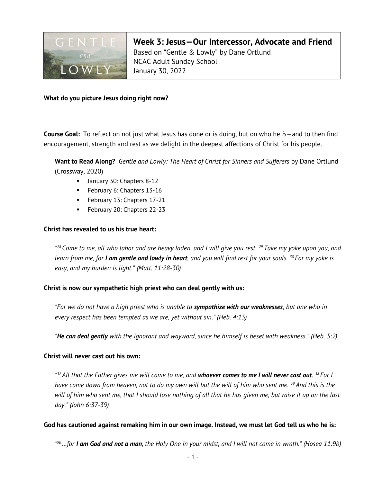

Week 3: Jesus—Our Intercessor, Advocate and Friend Based on "Gentle & Lowly" by Dane Ortlund NCAC Adult Sunday School January 30, 2022

What do you picture Jesus doing right now?

**Course Goal:** To reflect on not just what Jesus has done or is doing, but on who he  $is$  – and to then find encouragement, strength and rest as we delight in the deepest affections of Christ for his people.

Want to Read Along? Gentle and Lowly: The Heart of Christ for Sinners and Sufferers by Dane Ortlund (Crossway, 2020)

- **January 30: Chapters 8-12**
- February 6: Chapters 13-16
- **February 13: Chapters 17-21**
- **February 20: Chapters 22-23**

### Christ has revealed to us his true heart:

<sup>428</sup> Come to me, all who labor and are heavy laden, and I will give you rest. <sup>29</sup> Take my yoke upon you, and learn from me, for **I am gentle and lowly in heart**, and you will find rest for your souls.  $^{30}$  For my yoke is easy, and my burden is light." (Matt. 11:28-30)

#### Christ is now our sympathetic high priest who can deal gently with us:

"For we do not have a high priest who is unable to **sympathize with our weaknesses**, but one who in every respect has been tempted as we are, yet without sin." (Heb. 4:15)

"He can deal gently with the ignorant and wayward, since he himself is beset with weakness." (Heb. 5:2)

#### Christ will never cast out his own:

 $37$  All that the Father gives me will come to me, and **whoever comes to me I will never cast out**.  $38$  For I have come down from heaven, not to do my own will but the will of him who sent me. <sup>39</sup> And this is the will of him who sent me, that I should lose nothing of all that he has given me, but raise it up on the last day." (John 6:37-39)

#### God has cautioned against remaking him in our own image. Instead, we must let God tell us who he is:

"<sup>9b</sup> ...for **I am God and not a man**, the Holy One in your midst, and I will not come in wrath." (Hosea 11:9b)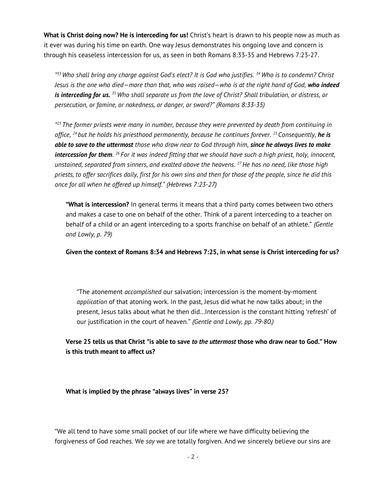What is Christ doing now? He is interceding for us! Christ's heart is drawn to his people now as much as it ever was during his time on earth. One way Jesus demonstrates his ongoing love and concern is through his ceaseless intercession for us, as seen in both Romans 8:33-35 and Hebrews 7:23-27.

<sup>433</sup> Who shall bring any charge against God's elect? It is God who justifies. <sup>34</sup> Who is to condemn? Christ Jesus is the one who died–more than that, who was raised–who is at the right hand of God, who indeed **is interceding for us.** <sup>35</sup> Who shall separate us from the love of Christ? Shall tribulation, or distress, or persecution, or famine, or nakedness, or danger, or sword?" (Romans 8:33-35)

"<sup>23</sup> The former priests were many in number, because they were prevented by death from continuing in office, <sup>24</sup> but he holds his priesthood permanently, because he continues forever. <sup>25</sup> Consequently, **he is** able to save to the uttermost those who draw near to God through him, since he always lives to make **intercession for them**. <sup>26</sup> For it was indeed fitting that we should have such a high priest, holy, innocent, unstained, separated from sinners, and exalted above the heavens.  $^{27}$  He has no need, like those high priests, to offer sacrifices daily, first for his own sins and then for those of the people, since he did this once for all when he offered up himself." (Hebrews 7:23-27)

"What is intercession? In general terms it means that a third party comes between two others and makes a case to one on behalf of the other. Think of a parent interceding to a teacher on behalf of a child or an agent interceding to a sports franchise on behalf of an athlete." (Gentle and Lowly, p. 79)

Given the context of Romans 8:34 and Hebrews 7:25, in what sense is Christ interceding for us?

"The atonement accomplished our salvation; intercession is the moment-by-moment application of that atoning work. In the past, Jesus did what he now talks about; in the present, Jesus talks about what he then did…Intercession is the constant hitting 'refresh' of our justification in the court of heaven." (Gentle and Lowly, pp. 79-80.)

Verse 25 tells us that Christ "is able to save to the uttermost those who draw near to God." How is this truth meant to affect us?

What is implied by the phrase "always lives" in verse 25?

"We all tend to have some small pocket of our life where we have difficulty believing the forgiveness of God reaches. We say we are totally forgiven. And we sincerely believe our sins are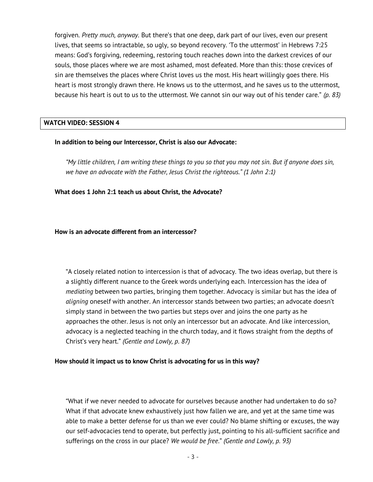forgiven. Pretty much, anyway. But there's that one deep, dark part of our lives, even our present lives, that seems so intractable, so ugly, so beyond recovery. 'To the uttermost' in Hebrews 7:25 means: God's forgiving, redeeming, restoring touch reaches down into the darkest crevices of our souls, those places where we are most ashamed, most defeated. More than this: those crevices of sin are themselves the places where Christ loves us the most. His heart willingly goes there. His heart is most strongly drawn there. He knows us to the uttermost, and he saves us to the uttermost, because his heart is out to us to the uttermost. We cannot sin our way out of his tender care." ( $p. 83$ )

### WATCH VIDEO: SESSION 4

### In addition to being our Intercessor, Christ is also our Advocate:

"My little children, I am writing these things to you so that you may not sin. But if anyone does sin, we have an advocate with the Father, Jesus Christ the righteous." (1 John 2:1)

What does 1 John 2:1 teach us about Christ, the Advocate?

### How is an advocate different from an intercessor?

"A closely related notion to intercession is that of advocacy. The two ideas overlap, but there is a slightly different nuance to the Greek words underlying each. Intercession has the idea of mediating between two parties, bringing them together. Advocacy is similar but has the idea of aligning oneself with another. An intercessor stands between two parties; an advocate doesn't simply stand in between the two parties but steps over and joins the one party as he approaches the other. Jesus is not only an intercessor but an advocate. And like intercession, advocacy is a neglected teaching in the church today, and it flows straight from the depths of Christ's very heart." (Gentle and Lowly, p. 87)

# How should it impact us to know Christ is advocating for us in this way?

"What if we never needed to advocate for ourselves because another had undertaken to do so? What if that advocate knew exhaustively just how fallen we are, and yet at the same time was able to make a better defense for us than we ever could? No blame shifting or excuses, the way our self-advocacies tend to operate, but perfectly just, pointing to his all-sufficient sacrifice and sufferings on the cross in our place? We would be free." (Gentle and Lowly, p. 93)